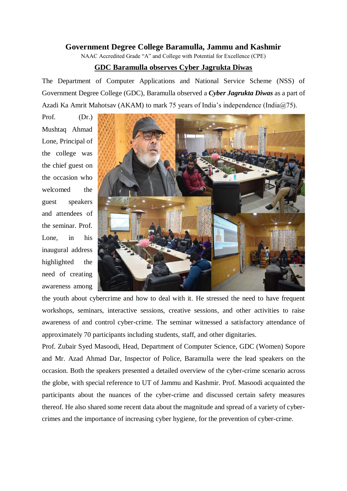## **Government Degree College Baramulla, Jammu and Kashmir**

NAAC Accredited Grade "A" and College with Potential for Excellence (CPE)

## **GDC Baramulla observes Cyber Jagrukta Diwas**

The Department of Computer Applications and National Service Scheme (NSS) of Government Degree College (GDC), Baramulla observed a *Cyber Jagrukta Diwas* as a part of Azadi Ka Amrit Mahotsav (AKAM) to mark 75 years of India's independence (India@75).

Prof. (Dr.) Mushtaq Ahmad Lone, Principal of the college was the chief guest on the occasion who welcomed the guest speakers and attendees of the seminar. Prof. Lone, in his inaugural address highlighted the need of creating awareness among



the youth about cybercrime and how to deal with it. He stressed the need to have frequent workshops, seminars, interactive sessions, creative sessions, and other activities to raise awareness of and control cyber-crime. The seminar witnessed a satisfactory attendance of approximately 70 participants including students, staff, and other dignitaries.

Prof. Zubair Syed Masoodi, Head, Department of Computer Science, GDC (Women) Sopore and Mr. Azad Ahmad Dar, Inspector of Police, Baramulla were the lead speakers on the occasion. Both the speakers presented a detailed overview of the cyber-crime scenario across the globe, with special reference to UT of Jammu and Kashmir. Prof. Masoodi acquainted the participants about the nuances of the cyber-crime and discussed certain safety measures thereof. He also shared some recent data about the magnitude and spread of a variety of cybercrimes and the importance of increasing cyber hygiene, for the prevention of cyber-crime.